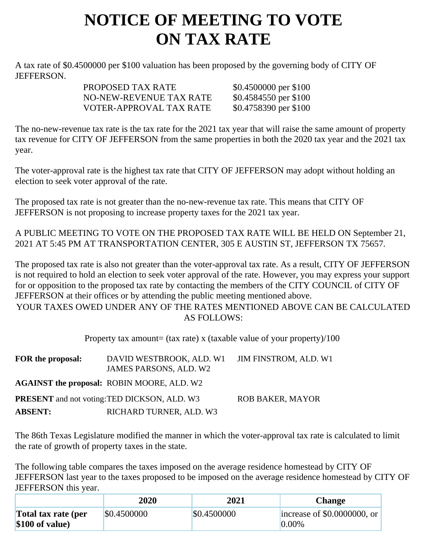## **NOTICE OF MEETING TO VOTE ON TAX RATE**

A tax rate of \$0.4500000 per \$100 valuation has been proposed by the governing body of CITY OF JEFFERSON.

| PROPOSED TAX RATE       | \$0.4500000 per \$100 |
|-------------------------|-----------------------|
| NO-NEW-REVENUE TAX RATE | \$0.4584550 per \$100 |
| VOTER-APPROVAL TAX RATE | \$0.4758390 per \$100 |

The no-new-revenue tax rate is the tax rate for the 2021 tax year that will raise the same amount of property tax revenue for CITY OF JEFFERSON from the same properties in both the 2020 tax year and the 2021 tax year.

The voter-approval rate is the highest tax rate that CITY OF JEFFERSON may adopt without holding an election to seek voter approval of the rate.

The proposed tax rate is not greater than the no-new-revenue tax rate. This means that CITY OF JEFFERSON is not proposing to increase property taxes for the 2021 tax year.

A PUBLIC MEETING TO VOTE ON THE PROPOSED TAX RATE WILL BE HELD ON September 21, 2021 AT 5:45 PM AT TRANSPORTATION CENTER, 305 E AUSTIN ST, JEFFERSON TX 75657.

The proposed tax rate is also not greater than the voter-approval tax rate. As a result, CITY OF JEFFERSON is not required to hold an election to seek voter approval of the rate. However, you may express your support for or opposition to the proposed tax rate by contacting the members of the CITY COUNCIL of CITY OF JEFFERSON at their offices or by attending the public meeting mentioned above. YOUR TAXES OWED UNDER ANY OF THE RATES MENTIONED ABOVE CAN BE CALCULATED AS FOLLOWS:

Property tax amount= (tax rate) x (taxable value of your property)/100

| FOR the proposal: | DAVID WESTBROOK, ALD. W1<br>JAMES PARSONS, ALD. W2  | JIM FINSTROM, ALD. W1   |
|-------------------|-----------------------------------------------------|-------------------------|
|                   | AGAINST the proposal: ROBIN MOORE, ALD. W2          |                         |
|                   | <b>PRESENT</b> and not voting: TED DICKSON, ALD. W3 | <b>ROB BAKER, MAYOR</b> |
| <b>ABSENT:</b>    | RICHARD TURNER, ALD. W3                             |                         |

The 86th Texas Legislature modified the manner in which the voter-approval tax rate is calculated to limit the rate of growth of property taxes in the state.

The following table compares the taxes imposed on the average residence homestead by CITY OF JEFFERSON last year to the taxes proposed to be imposed on the average residence homestead by CITY OF JEFFERSON this year.

|                                         | 2020        | 2021        | <b>Change</b>                           |
|-----------------------------------------|-------------|-------------|-----------------------------------------|
| Total tax rate (per<br>$$100$ of value) | \$0.4500000 | \$0.4500000 | increase of \$0.0000000, or<br>$0.00\%$ |